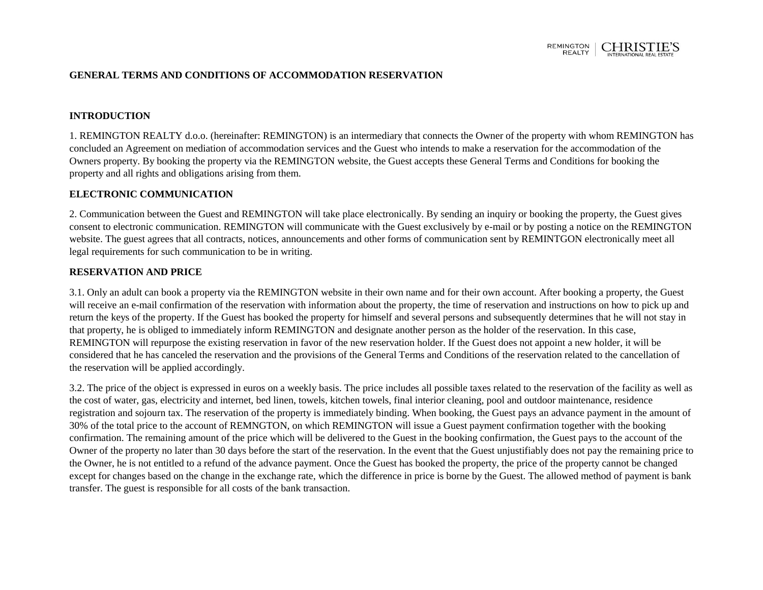

#### **GENERAL TERMS AND CONDITIONS OF ACCOMMODATION RESERVATION**

#### **INTRODUCTION**

1. REMINGTON REALTY d.o.o. (hereinafter: REMINGTON) is an intermediary that connects the Owner of the property with whom REMINGTON has concluded an Agreement on mediation of accommodation services and the Guest who intends to make a reservation for the accommodation of the Owners property. By booking the property via the REMINGTON website, the Guest accepts these General Terms and Conditions for booking the property and all rights and obligations arising from them.

#### **ELECTRONIC COMMUNICATION**

2. Communication between the Guest and REMINGTON will take place electronically. By sending an inquiry or booking the property, the Guest gives consent to electronic communication. REMINGTON will communicate with the Guest exclusively by e-mail or by posting a notice on the REMINGTON website. The guest agrees that all contracts, notices, announcements and other forms of communication sent by REMINTGON electronically meet all legal requirements for such communication to be in writing.

#### **RESERVATION AND PRICE**

3.1. Only an adult can book a property via the REMINGTON website in their own name and for their own account. After booking a property, the Guest will receive an e-mail confirmation of the reservation with information about the property, the time of reservation and instructions on how to pick up and return the keys of the property. If the Guest has booked the property for himself and several persons and subsequently determines that he will not stay in that property, he is obliged to immediately inform REMINGTON and designate another person as the holder of the reservation. In this case, REMINGTON will repurpose the existing reservation in favor of the new reservation holder. If the Guest does not appoint a new holder, it will be considered that he has canceled the reservation and the provisions of the General Terms and Conditions of the reservation related to the cancellation of the reservation will be applied accordingly.

3.2. The price of the object is expressed in euros on a weekly basis. The price includes all possible taxes related to the reservation of the facility as well as the cost of water, gas, electricity and internet, bed linen, towels, kitchen towels, final interior cleaning, pool and outdoor maintenance, residence registration and sojourn tax. The reservation of the property is immediately binding. When booking, the Guest pays an advance payment in the amount of 30% of the total price to the account of REMNGTON, on which REMINGTON will issue a Guest payment confirmation together with the booking confirmation. The remaining amount of the price which will be delivered to the Guest in the booking confirmation, the Guest pays to the account of the Owner of the property no later than 30 days before the start of the reservation. In the event that the Guest unjustifiably does not pay the remaining price to the Owner, he is not entitled to a refund of the advance payment. Once the Guest has booked the property, the price of the property cannot be changed except for changes based on the change in the exchange rate, which the difference in price is borne by the Guest. The allowed method of payment is bank transfer. The guest is responsible for all costs of the bank transaction.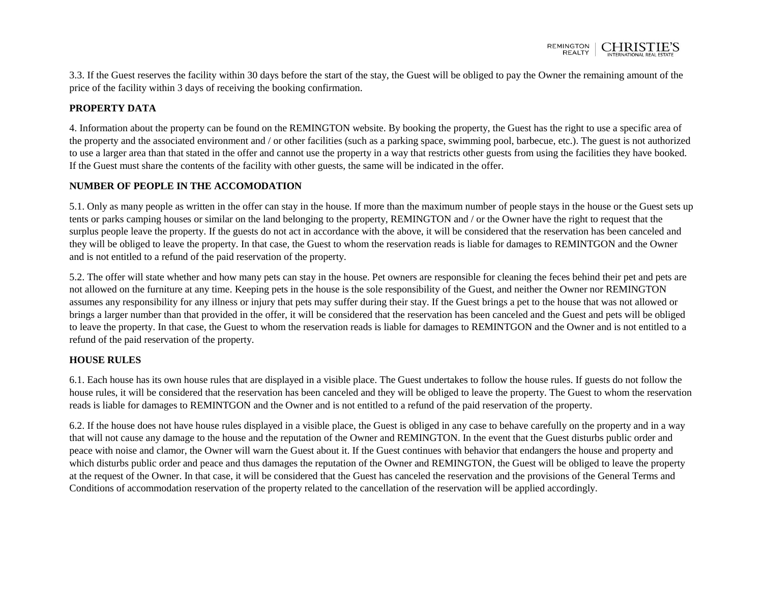3.3. If the Guest reserves the facility within 30 days before the start of the stay, the Guest will be obliged to pay the Owner the remaining amount of the price of the facility within 3 days of receiving the booking confirmation.

# **PROPERTY DATA**

4. Information about the property can be found on the REMINGTON website. By booking the property, the Guest has the right to use a specific area of the property and the associated environment and / or other facilities (such as a parking space, swimming pool, barbecue, etc.). The guest is not authorized to use a larger area than that stated in the offer and cannot use the property in a way that restricts other guests from using the facilities they have booked. If the Guest must share the contents of the facility with other guests, the same will be indicated in the offer.

# **NUMBER OF PEOPLE IN THE ACCOMODATION**

5.1. Only as many people as written in the offer can stay in the house. If more than the maximum number of people stays in the house or the Guest sets up tents or parks camping houses or similar on the land belonging to the property, REMINGTON and / or the Owner have the right to request that the surplus people leave the property. If the guests do not act in accordance with the above, it will be considered that the reservation has been canceled and they will be obliged to leave the property. In that case, the Guest to whom the reservation reads is liable for damages to REMINTGON and the Owner and is not entitled to a refund of the paid reservation of the property.

5.2. The offer will state whether and how many pets can stay in the house. Pet owners are responsible for cleaning the feces behind their pet and pets are not allowed on the furniture at any time. Keeping pets in the house is the sole responsibility of the Guest, and neither the Owner nor REMINGTON assumes any responsibility for any illness or injury that pets may suffer during their stay. If the Guest brings a pet to the house that was not allowed or brings a larger number than that provided in the offer, it will be considered that the reservation has been canceled and the Guest and pets will be obliged to leave the property. In that case, the Guest to whom the reservation reads is liable for damages to REMINTGON and the Owner and is not entitled to a refund of the paid reservation of the property.

# **HOUSE RULES**

6.1. Each house has its own house rules that are displayed in a visible place. The Guest undertakes to follow the house rules. If guests do not follow the house rules, it will be considered that the reservation has been canceled and they will be obliged to leave the property. The Guest to whom the reservation reads is liable for damages to REMINTGON and the Owner and is not entitled to a refund of the paid reservation of the property.

6.2. If the house does not have house rules displayed in a visible place, the Guest is obliged in any case to behave carefully on the property and in a way that will not cause any damage to the house and the reputation of the Owner and REMINGTON. In the event that the Guest disturbs public order and peace with noise and clamor, the Owner will warn the Guest about it. If the Guest continues with behavior that endangers the house and property and which disturbs public order and peace and thus damages the reputation of the Owner and REMINGTON, the Guest will be obliged to leave the property at the request of the Owner. In that case, it will be considered that the Guest has canceled the reservation and the provisions of the General Terms and Conditions of accommodation reservation of the property related to the cancellation of the reservation will be applied accordingly.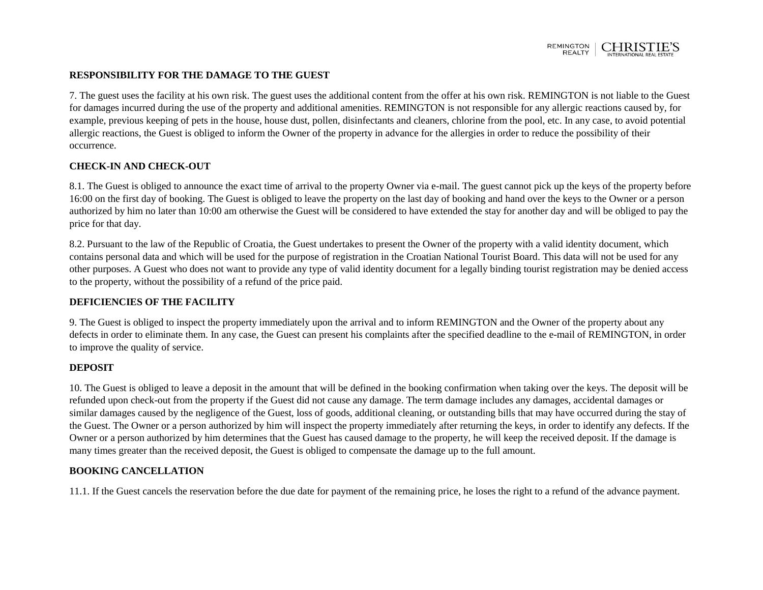

### **RESPONSIBILITY FOR THE DAMAGE TO THE GUEST**

7. The guest uses the facility at his own risk. The guest uses the additional content from the offer at his own risk. REMINGTON is not liable to the Guest for damages incurred during the use of the property and additional amenities. REMINGTON is not responsible for any allergic reactions caused by, for example, previous keeping of pets in the house, house dust, pollen, disinfectants and cleaners, chlorine from the pool, etc. In any case, to avoid potential allergic reactions, the Guest is obliged to inform the Owner of the property in advance for the allergies in order to reduce the possibility of their occurrence.

## **CHECK-IN AND CHECK-OUT**

8.1. The Guest is obliged to announce the exact time of arrival to the property Owner via e-mail. The guest cannot pick up the keys of the property before 16:00 on the first day of booking. The Guest is obliged to leave the property on the last day of booking and hand over the keys to the Owner or a person authorized by him no later than 10:00 am otherwise the Guest will be considered to have extended the stay for another day and will be obliged to pay the price for that day.

8.2. Pursuant to the law of the Republic of Croatia, the Guest undertakes to present the Owner of the property with a valid identity document, which contains personal data and which will be used for the purpose of registration in the Croatian National Tourist Board. This data will not be used for any other purposes. A Guest who does not want to provide any type of valid identity document for a legally binding tourist registration may be denied access to the property, without the possibility of a refund of the price paid.

### **DEFICIENCIES OF THE FACILITY**

9. The Guest is obliged to inspect the property immediately upon the arrival and to inform REMINGTON and the Owner of the property about any defects in order to eliminate them. In any case, the Guest can present his complaints after the specified deadline to the e-mail of REMINGTON, in order to improve the quality of service.

### **DEPOSIT**

10. The Guest is obliged to leave a deposit in the amount that will be defined in the booking confirmation when taking over the keys. The deposit will be refunded upon check-out from the property if the Guest did not cause any damage. The term damage includes any damages, accidental damages or similar damages caused by the negligence of the Guest, loss of goods, additional cleaning, or outstanding bills that may have occurred during the stay of the Guest. The Owner or a person authorized by him will inspect the property immediately after returning the keys, in order to identify any defects. If the Owner or a person authorized by him determines that the Guest has caused damage to the property, he will keep the received deposit. If the damage is many times greater than the received deposit, the Guest is obliged to compensate the damage up to the full amount.

### **BOOKING CANCELLATION**

11.1. If the Guest cancels the reservation before the due date for payment of the remaining price, he loses the right to a refund of the advance payment.